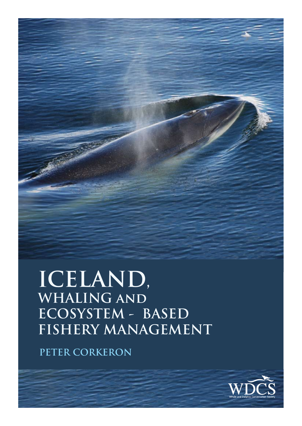**ICELAND, WHALING and ECOSYSTEM - BASED FISHERY MANAGEMENT**

**PETER CORKERON** 

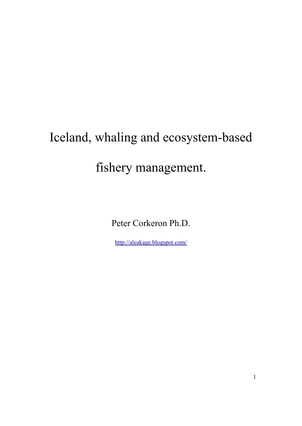# Iceland, whaling and ecosystem-based fishery management.

Peter Corkeron Ph.D.

<http://aleakage.blogspot.com/>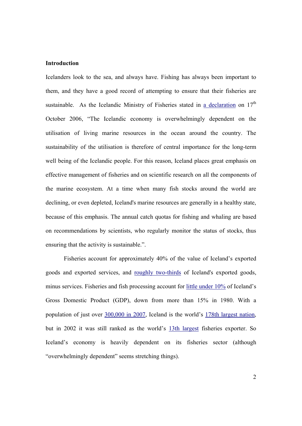## **Introduction**

Icelanders look to the sea, and always have. Fishing has always been important to them, and they have a good record of attempting to ensure that their fisheries are sustainable. As the Icelandic Ministry of Fisheries stated in [a declaration](http://eng.sjavarutvegsraduneyti.is/news-and-articles/nr/1300) on  $17<sup>th</sup>$ October 2006, "The Icelandic economy is overwhelmingly dependent on the utilisation of living marine resources in the ocean around the country. The sustainability of the utilisation is therefore of central importance for the long-term well being of the Icelandic people. For this reason, Iceland places great emphasis on effective management of fisheries and on scientific research on all the components of the marine ecosystem. At a time when many fish stocks around the world are declining, or even depleted, Iceland's marine resources are generally in a healthy state, because of this emphasis. The annual catch quotas for fishing and whaling are based on recommendations by scientists, who regularly monitor the status of stocks, thus ensuring that the activity is sustainable.".

 Fisheries account for approximately 40% of the value of Iceland's exported goods and exported services, and [roughly two-thirds](http://eng.sjavarutvegsraduneyti.is/media/sjavarutvegur_i_tolum/Mynd_3-2.pdf) of Iceland's exported goods, minus services. Fisheries and fish processing account for [little under 10%](http://eng.sjavarutvegsraduneyti.is/media/sjavarutvegur_i_tolum/Mynd_3-3.pdf) of Iceland's Gross Domestic Product (GDP), down from more than 15% in 1980. With a population of just over [300,000 in 2007,](https://www.cia.gov/library/publications/the-world-factbook/geos/ic.html) Iceland is the world's [178th largest nation](https://www.cia.gov/library/publications/the-world-factbook/rankorder/2119rank.html), but in 2002 it was still ranked as the world's [13th largest](http://eng.sjavarutvegsraduneyti.is/media/sjavarutvegur_i_tolum/Mynd_2-2.pdf) fisheries exporter. So Iceland's economy is heavily dependent on its fisheries sector (although "overwhelmingly dependent" seems stretching things).

2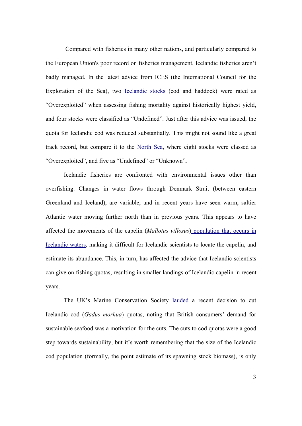Compared with fisheries in many other nations, and particularly compared to the European Union's poor record on fisheries management, Icelandic fisheries aren't badly managed. In the latest advice from ICES (the International Council for the Exploration of the Sea), two [Icelandic stocks](http://www.ices.dk/committe/acfm/comwork/report/2007/may/Iceland) (cod and haddock) were rated as "Overexploited" when assessing fishing mortality against historically highest yield, and four stocks were classified as "Undefined". Just after this advice was issued, the quota for Icelandic cod was reduced substantially. This might not sound like a great track record, but compare it to the [North Sea,](http://www.ices.dk/committe/acfm/comwork/report/2007/may/North) where eight stocks were classed as "Overexploited", and five as "Undefined" or "Unknown"**.** 

Icelandic fisheries are confronted with environmental issues other than overfishing. Changes in water flows through Denmark Strait (between eastern Greenland and Iceland), are variable, and in recent years have seen warm, saltier Atlantic water moving further north than in previous years. This appears to have affected the movements of the capelin (*Mallotus villosus*[\) population that occurs in](http://www.ices.dk/committe/acfm/comwork/report/2007/may/cap-icel.pdf)  [Icelandic waters](http://www.ices.dk/committe/acfm/comwork/report/2007/may/cap-icel.pdf), making it difficult for Icelandic scientists to locate the capelin, and estimate its abundance. This, in turn, has affected the advice that Icelandic scientists can give on fishing quotas, resulting in smaller landings of Icelandic capelin in recent years.

The UK's Marine Conservation Society [lauded](http://www.mcsuk.org/newsevents/press_view/172) a recent decision to cut Icelandic cod (*Gadus morhua*) quotas, noting that British consumers' demand for sustainable seafood was a motivation for the cuts. The cuts to cod quotas were a good step towards sustainability, but it's worth remembering that the size of the Icelandic cod population (formally, the point estimate of its spawning stock biomass), is only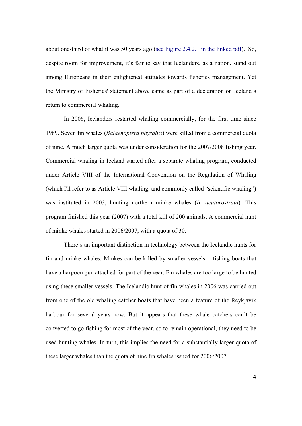about one-third of what it was 50 years ago [\(see Figure 2.4.2.1 in the linked pdf](http://www.ices.dk/committe/acfm/comwork/report/2007/may/cod-iceg.pdf)). So, despite room for improvement, it's fair to say that Icelanders, as a nation, stand out among Europeans in their enlightened attitudes towards fisheries management. Yet the Ministry of Fisheries' statement above came as part of a declaration on Iceland's return to commercial whaling.

In 2006, Icelanders restarted whaling commercially, for the first time since 1989. Seven fin whales (*Balaenoptera physalus*) were killed from a commercial quota of nine. A much larger quota was under consideration for the 2007/2008 fishing year. Commercial whaling in Iceland started after a separate whaling program, conducted under Article VIII of the International Convention on the Regulation of Whaling (which I'll refer to as Article VIII whaling, and commonly called "scientific whaling") was instituted in 2003, hunting northern minke whales (*B. acutorostrata*). This program finished this year (2007) with a total kill of 200 animals. A commercial hunt of minke whales started in 2006/2007, with a quota of 30.

There's an important distinction in technology between the Icelandic hunts for fin and minke whales. Minkes can be killed by smaller vessels – fishing boats that have a harpoon gun attached for part of the year. Fin whales are too large to be hunted using these smaller vessels. The Icelandic hunt of fin whales in 2006 was carried out from one of the old whaling catcher boats that have been a feature of the Reykjavik harbour for several years now. But it appears that these whale catchers can't be converted to go fishing for most of the year, so to remain operational, they need to be used hunting whales. In turn, this implies the need for a substantially larger quota of these larger whales than the quota of nine fin whales issued for 2006/2007.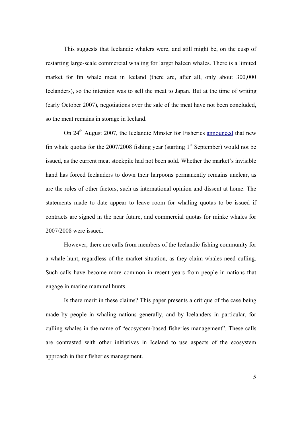This suggests that Icelandic whalers were, and still might be, on the cusp of restarting large-scale commercial whaling for larger baleen whales. There is a limited market for fin whale meat in Iceland (there are, after all, only about 300,000 Icelanders), so the intention was to sell the meat to Japan. But at the time of writing (early October 2007), negotiations over the sale of the meat have not been concluded, so the meat remains in storage in Iceland.

On 24<sup>th</sup> August 2007, the Icelandic Minster for Fisheries [announced](http://uk.reuters.com/article/scienceNews/idUKL2460655320070824) that new fin whale quotas for the  $2007/2008$  fishing year (starting 1<sup>st</sup> September) would not be issued, as the current meat stockpile had not been sold. Whether the market's invisible hand has forced Icelanders to down their harpoons permanently remains unclear, as are the roles of other factors, such as international opinion and dissent at home. The statements made to date appear to leave room for whaling quotas to be issued if contracts are signed in the near future, and commercial quotas for minke whales for 2007/2008 were issued.

However, there are calls from members of the Icelandic fishing community for a whale hunt, regardless of the market situation, as they claim whales need culling. Such calls have become more common in recent years from people in nations that engage in marine mammal hunts.

Is there merit in these claims? This paper presents a critique of the case being made by people in whaling nations generally, and by Icelanders in particular, for culling whales in the name of "ecosystem-based fisheries management". These calls are contrasted with other initiatives in Iceland to use aspects of the ecosystem approach in their fisheries management.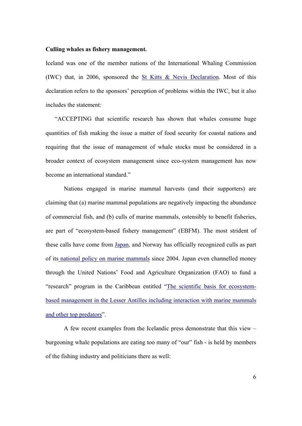#### **Culling whales as fishery management.**

Iceland was one of the member nations of the International Whaling Commission (IWC) that, in 2006, sponsored the [St Kitts & Nevis Declaration](http://iwcoffice.org/meetings/resolutions/resolution2006.htm). Most of this declaration refers to the sponsors' perception of problems within the IWC, but it also includes the statement:

"ACCEPTING that scientific research has shown that whales consume huge quantities of fish making the issue a matter of food security for coastal nations and requiring that the issue of management of whale stocks must be considered in a broader context of ecosystem management since eco-system management has now become an international standard."

 Nations engaged in marine mammal harvests (and their supporters) are claiming that (a) marine mammal populations are negatively impacting the abundance of commercial fish, and (b) culls of marine mammals, ostensibly to benefit fisheries, are part of "ecosystem-based fishery management" (EBFM). The most strident of these calls have come from [Japan,](http://www.icrwhale.org/04-B-jen.pdf) and Norway has officially recognized culls as part of it[s national policy on marine mammals](http://www.regjeringen.no/Rpub/STM/20032004/027/PDFS/STM200320040027000DDDPDFS.pdf) since 2004. Japan even channelled money through the United Nations' Food and Agriculture Organization (FAO) to fund a "research" program in the Caribbean entitled "[The scientific basis for ecosystem](http://www.fao.org/docrep/meeting/005/Y8083E.htm)[based management in the Lesser Antilles including interaction with marine mammals](http://www.fao.org/docrep/meeting/005/Y8083E.htm)  [and other top predators"](http://www.fao.org/docrep/meeting/005/Y8083E.htm).

A few recent examples from the Icelandic press demonstrate that this view – burgeoning whale populations are eating too many of "our" fish - is held by members of the fishing industry and politicians there as well: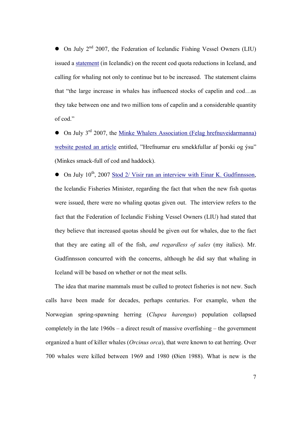$\bullet$  On July 2<sup>nd</sup> 2007, the Federation of Icelandic Fishing Vessel Owners (LIU) issued a [statement](http://liu.is/news.asp?id=161&news_ID=584&type=one) (in Icelandic) on the recent cod quota reductions in Iceland, and calling for whaling not only to continue but to be increased. The statement claims that "the large increase in whales has influenced stocks of capelin and cod…as they take between one and two million tons of capelin and a considerable quantity of cod."

 $\bullet$  On July 3<sup>rd</sup> 2007, the Minke Whalers Association (Felag hrefnuveidarmanna) [website posted an article](http://www.hrefna.is/) entitled, "Hrefnurnar eru smekkfullar af þorski og ýsu" (Minkes smack-full of cod and haddock).

 $\bullet$  On July 10<sup>th</sup>, 2007 [Stod 2/ Visir ran an interview with Einar K. Gudfinnsson](http://www.visir.is/article/20070710/FRETTIR01/70710092&SearchID=73288459760797), the Icelandic Fisheries Minister, regarding the fact that when the new fish quotas were issued, there were no whaling quotas given out. The interview refers to the fact that the Federation of Icelandic Fishing Vessel Owners (LIU) had stated that they believe that increased quotas should be given out for whales, due to the fact that they are eating all of the fish, *and regardless of sales* (my italics). Mr. Gudfinnsson concurred with the concerns, although he did say that whaling in Iceland will be based on whether or not the meat sells.

The idea that marine mammals must be culled to protect fisheries is not new. Such calls have been made for decades, perhaps centuries. For example, when the Norwegian spring-spawning herring (*Clupea harengus*) population collapsed completely in the late 1960s – a direct result of massive overfishing – the government organized a hunt of killer whales (*Orcinus orca*), that were known to eat herring. Over 700 whales were killed between 1969 and 1980 (Øien 1988). What is new is the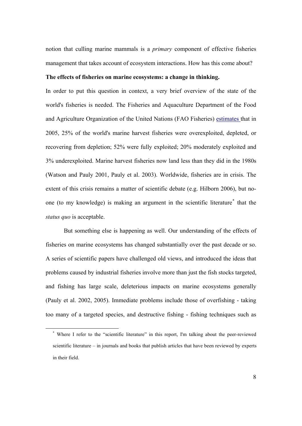notion that culling marine mammals is a *primary* component of effective fisheries management that takes account of ecosystem interactions. How has this come about?

# **The effects of fisheries on marine ecosystems: a change in thinking.**

In order to put this question in context, a very brief overview of the state of the world's fisheries is needed. The Fisheries and Aquaculture Department of the Food and Agriculture Organization of the United Nations (FAO Fisheries) [estimates](http://www.fao.org/docrep/009/A0699e/A0699e00.htm) that in 2005, 25% of the world's marine harvest fisheries were overexploited, depleted, or recovering from depletion; 52% were fully exploited; 20% moderately exploited and 3% underexploited. Marine harvest fisheries now land less than they did in the 1980s (Watson and Pauly 2001, Pauly et al. 2003). Worldwide, fisheries are in crisis. The extent of this crisis remains a matter of scientific debate (e.g. Hilborn 2006), but noone (to my knowledge) is making an argument in the scientific literature[\\*](#page-8-0) that the *status quo* is acceptable.

 But something else is happening as well. Our understanding of the effects of fisheries on marine ecosystems has changed substantially over the past decade or so. A series of scientific papers have challenged old views, and introduced the ideas that problems caused by industrial fisheries involve more than just the fish stocks targeted, and fishing has large scale, deleterious impacts on marine ecosystems generally (Pauly et al. 2002, 2005). Immediate problems include those of overfishing - taking too many of a targeted species, and destructive fishing - fishing techniques such as

<span id="page-8-0"></span> <sup>\*</sup> Where I refer to the "scientific literature" in this report, I'm talking about the peer-reviewed scientific literature – in journals and books that publish articles that have been reviewed by experts in their field.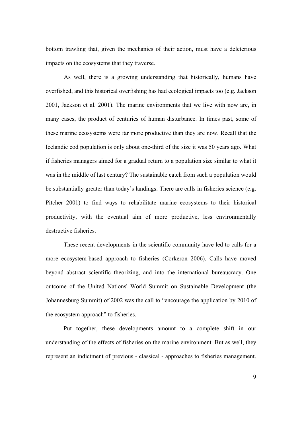bottom trawling that, given the mechanics of their action, must have a deleterious impacts on the ecosystems that they traverse.

 As well, there is a growing understanding that historically, humans have overfished, and this historical overfishing has had ecological impacts too (e.g. Jackson 2001, Jackson et al. 2001). The marine environments that we live with now are, in many cases, the product of centuries of human disturbance. In times past, some of these marine ecosystems were far more productive than they are now. Recall that the Icelandic cod population is only about one-third of the size it was 50 years ago. What if fisheries managers aimed for a gradual return to a population size similar to what it was in the middle of last century? The sustainable catch from such a population would be substantially greater than today's landings. There are calls in fisheries science (e.g. Pitcher 2001) to find ways to rehabilitate marine ecosystems to their historical productivity, with the eventual aim of more productive, less environmentally destructive fisheries.

These recent developments in the scientific community have led to calls for a more ecosystem-based approach to fisheries (Corkeron 2006). Calls have moved beyond abstract scientific theorizing, and into the international bureaucracy. One outcome of the United Nations' World Summit on Sustainable Development (the Johannesburg Summit) of 2002 was the call to "encourage the application by 2010 of the ecosystem approach" to fisheries.

Put together, these developments amount to a complete shift in our understanding of the effects of fisheries on the marine environment. But as well, they represent an indictment of previous - classical - approaches to fisheries management.

9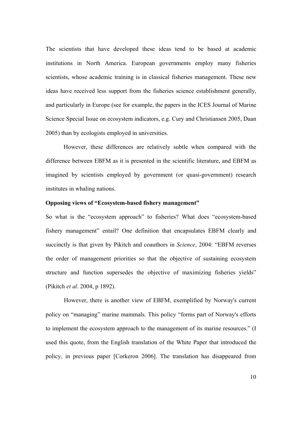The scientists that have developed these ideas tend to be based at academic institutions in North America. European governments employ many fisheries scientists, whose academic training is in classical fisheries management. These new ideas have received less support from the fisheries science establishment generally, and particularly in Europe (see for example, the papers in the ICES Journal of Marine Science Special Issue on ecosystem indicators, e.g. Cury and Christiansen 2005, Daan 2005) than by ecologists employed in universities.

However, these differences are relatively subtle when compared with the difference between EBFM as it is presented in the scientific literature, and EBFM as imagined by scientists employed by government (or quasi-government) research institutes in whaling nations.

## **Opposing views of "Ecosystem-based fishery management"**

So what is the "ecosystem approach" to fisheries? What does "ecosystem-based fishery management" entail? One definition that encapsulates EBFM clearly and succinctly is that given by Pikitch and coauthors in *Science*, 2004: "EBFM reverses the order of management priorities so that the objective of sustaining ecosystem structure and function supersedes the objective of maximizing fisheries yields" (Pikitch *et al*. 2004, p 1892).

 However, there is another view of EBFM, exemplified by Norway's current policy on "managing" marine mammals. This policy "forms part of Norway's efforts to implement the ecosystem approach to the management of its marine resources." (I used this quote, from the English translation of the White Paper that introduced the policy, in previous paper [Corkeron 2006]. The translation has disappeared from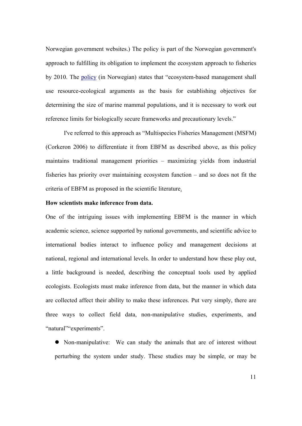Norwegian government websites.) The policy is part of the Norwegian government's approach to fulfilling its obligation to implement the ecosystem approach to fisheries by 2010. The [policy](http://www.regjeringen.no/nb/dep/fkd/dok/regpubl/stmeld/20032004/Stmeld-nr-27-2003-2004-.html?id=404057) (in Norwegian) states that "ecosystem-based management shall use resource-ecological arguments as the basis for establishing objectives for determining the size of marine mammal populations, and it is necessary to work out reference limits for biologically secure frameworks and precautionary levels."

 I've referred to this approach as "Multispecies Fisheries Management (MSFM) (Corkeron 2006) to differentiate it from EBFM as described above, as this policy maintains traditional management priorities – maximizing yields from industrial fisheries has priority over maintaining ecosystem function – and so does not fit the criteria of EBFM as proposed in the scientific literature.

## **How scientists make inference from data.**

One of the intriguing issues with implementing EBFM is the manner in which academic science, science supported by national governments, and scientific advice to international bodies interact to influence policy and management decisions at national, regional and international levels. In order to understand how these play out, a little background is needed, describing the conceptual tools used by applied ecologists. Ecologists must make inference from data, but the manner in which data are collected affect their ability to make these inferences. Put very simply, there are three ways to collect field data, non-manipulative studies, experiments, and "natural" "experiments".

• Non-manipulative: We can study the animals that are of interest without perturbing the system under study. These studies may be simple, or may be

11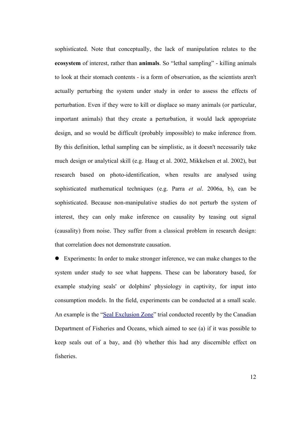sophisticated. Note that conceptually, the lack of manipulation relates to the **ecosystem** of interest, rather than **animals**. So "lethal sampling" - killing animals to look at their stomach contents - is a form of observation, as the scientists aren't actually perturbing the system under study in order to assess the effects of perturbation. Even if they were to kill or displace so many animals (or particular, important animals) that they create a perturbation, it would lack appropriate design, and so would be difficult (probably impossible) to make inference from. By this definition, lethal sampling can be simplistic, as it doesn't necessarily take much design or analytical skill (e.g. Haug et al. 2002, Mikkelsen et al. 2002), but research based on photo-identification, when results are analysed using sophisticated mathematical techniques (e.g. Parra *et al*. 2006a, b), can be sophisticated. Because non-manipulative studies do not perturb the system of interest, they can only make inference on causality by teasing out signal (causality) from noise. They suffer from a classical problem in research design: that correlation does not demonstrate causation.

! Experiments: In order to make stronger inference, we can make changes to the system under study to see what happens. These can be laboratory based, for example studying seals' or dolphins' physiology in captivity, for input into consumption models. In the field, experiments can be conducted at a small scale. An example is the ["Seal Exclusion Zone"](http://www.osl.gc.ca/mm/en/rech/projets/asrp/gestion.html) trial conducted recently by the Canadian Department of Fisheries and Oceans, which aimed to see (a) if it was possible to keep seals out of a bay, and (b) whether this had any discernible effect on fisheries.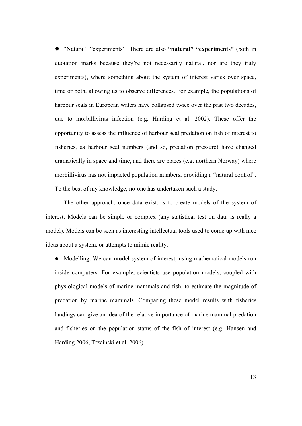! "Natural" "experiments": There are also **"natural" "experiments"** (both in quotation marks because they're not necessarily natural, nor are they truly experiments), where something about the system of interest varies over space, time or both, allowing us to observe differences. For example, the populations of harbour seals in European waters have collapsed twice over the past two decades, due to morbillivirus infection (e.g. Harding et al. 2002). These offer the opportunity to assess the influence of harbour seal predation on fish of interest to fisheries, as harbour seal numbers (and so, predation pressure) have changed dramatically in space and time, and there are places (e.g. northern Norway) where morbillivirus has not impacted population numbers, providing a "natural control". To the best of my knowledge, no-one has undertaken such a study.

 The other approach, once data exist, is to create models of the system of interest. Models can be simple or complex (any statistical test on data is really a model). Models can be seen as interesting intellectual tools used to come up with nice ideas about a system, or attempts to mimic reality.

! Modelling: We can **model** system of interest, using mathematical models run inside computers. For example, scientists use population models, coupled with physiological models of marine mammals and fish, to estimate the magnitude of predation by marine mammals. Comparing these model results with fisheries landings can give an idea of the relative importance of marine mammal predation and fisheries on the population status of the fish of interest (e.g. Hansen and Harding 2006, Trzcinski et al. 2006).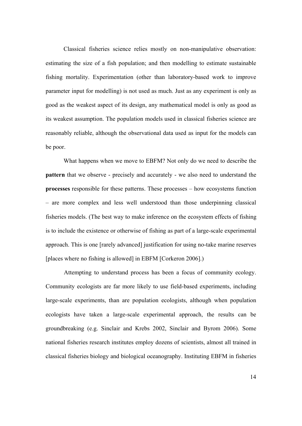Classical fisheries science relies mostly on non-manipulative observation: estimating the size of a fish population; and then modelling to estimate sustainable fishing mortality. Experimentation (other than laboratory-based work to improve parameter input for modelling) is not used as much. Just as any experiment is only as good as the weakest aspect of its design, any mathematical model is only as good as its weakest assumption. The population models used in classical fisheries science are reasonably reliable, although the observational data used as input for the models can be poor.

What happens when we move to EBFM? Not only do we need to describe the **pattern** that we observe - precisely and accurately - we also need to understand the **processes** responsible for these patterns. These processes – how ecosystems function – are more complex and less well understood than those underpinning classical fisheries models. (The best way to make inference on the ecosystem effects of fishing is to include the existence or otherwise of fishing as part of a large-scale experimental approach. This is one [rarely advanced] justification for using no-take marine reserves [places where no fishing is allowed] in EBFM [Corkeron 2006].)

 Attempting to understand process has been a focus of community ecology. Community ecologists are far more likely to use field-based experiments, including large-scale experiments, than are population ecologists, although when population ecologists have taken a large-scale experimental approach, the results can be groundbreaking (e.g. Sinclair and Krebs 2002, Sinclair and Byrom 2006). Some national fisheries research institutes employ dozens of scientists, almost all trained in classical fisheries biology and biological oceanography. Instituting EBFM in fisheries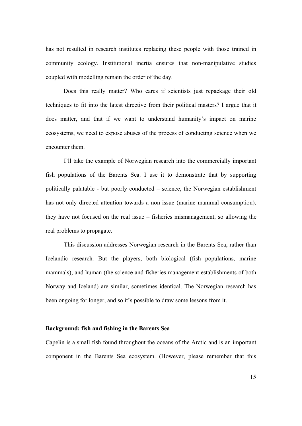has not resulted in research institutes replacing these people with those trained in community ecology. Institutional inertia ensures that non-manipulative studies coupled with modelling remain the order of the day.

Does this really matter? Who cares if scientists just repackage their old techniques to fit into the latest directive from their political masters? I argue that it does matter, and that if we want to understand humanity's impact on marine ecosystems, we need to expose abuses of the process of conducting science when we encounter them.

I'll take the example of Norwegian research into the commercially important fish populations of the Barents Sea. I use it to demonstrate that by supporting politically palatable - but poorly conducted – science, the Norwegian establishment has not only directed attention towards a non-issue (marine mammal consumption), they have not focused on the real issue – fisheries mismanagement, so allowing the real problems to propagate.

This discussion addresses Norwegian research in the Barents Sea, rather than Icelandic research. But the players, both biological (fish populations, marine mammals), and human (the science and fisheries management establishments of both Norway and Iceland) are similar, sometimes identical. The Norwegian research has been ongoing for longer, and so it's possible to draw some lessons from it.

## **Background: fish and fishing in the Barents Sea**

Capelin is a small fish found throughout the oceans of the Arctic and is an important component in the Barents Sea ecosystem. (However, please remember that this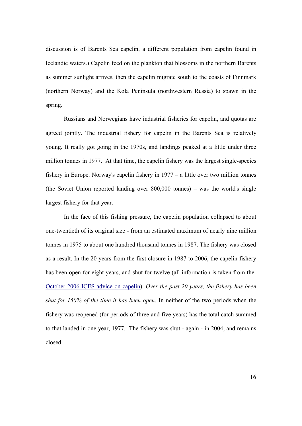discussion is of Barents Sea capelin, a different population from capelin found in Icelandic waters.) Capelin feed on the plankton that blossoms in the northern Barents as summer sunlight arrives, then the capelin migrate south to the coasts of Finnmark (northern Norway) and the Kola Peninsula (northwestern Russia) to spawn in the spring.

Russians and Norwegians have industrial fisheries for capelin, and quotas are agreed jointly. The industrial fishery for capelin in the Barents Sea is relatively young. It really got going in the 1970s, and landings peaked at a little under three million tonnes in 1977. At that time, the capelin fishery was the largest single-species fishery in Europe. Norway's capelin fishery in 1977 – a little over two million tonnes (the Soviet Union reported landing over 800,000 tonnes) – was the world's single largest fishery for that year.

In the face of this fishing pressure, the capelin population collapsed to about one-twentieth of its original size - from an estimated maximum of nearly nine million tonnes in 1975 to about one hundred thousand tonnes in 1987. The fishery was closed as a result. In the 20 years from the first closure in 1987 to 2006, the capelin fishery has been open for eight years, and shut for twelve (all information is taken from the [October 2006 ICES advice on capelin](http://www.ices.dk/committe/acfm/comwork/report/2006/oct/cap-bars.pdf)). *Over the past 20 years, the fishery has been shut for 150% of the time it has been open*. In neither of the two periods when the fishery was reopened (for periods of three and five years) has the total catch summed to that landed in one year, 1977. The fishery was shut - again - in 2004, and remains closed.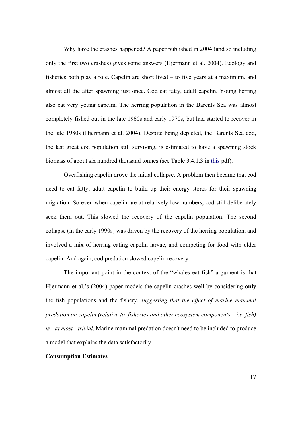Why have the crashes happened? A paper published in 2004 (and so including only the first two crashes) gives some answers (Hjermann et al. 2004). Ecology and fisheries both play a role. Capelin are short lived – to five years at a maximum, and almost all die after spawning just once. Cod eat fatty, adult capelin. Young herring also eat very young capelin. The herring population in the Barents Sea was almost completely fished out in the late 1960s and early 1970s, but had started to recover in the late 1980s (Hjermann et al. 2004). Despite being depleted, the Barents Sea cod, the last great cod population still surviving, is estimated to have a spawning stock biomass of about six hundred thousand tonnes (see Table 3.4.1.3 in [this](http://www.ices.dk/committe/acfm/comwork/report/2007/may/cod-arct.pdf) pdf).

Overfishing capelin drove the initial collapse. A problem then became that cod need to eat fatty, adult capelin to build up their energy stores for their spawning migration. So even when capelin are at relatively low numbers, cod still deliberately seek them out. This slowed the recovery of the capelin population. The second collapse (in the early 1990s) was driven by the recovery of the herring population, and involved a mix of herring eating capelin larvae, and competing for food with older capelin. And again, cod predation slowed capelin recovery.

The important point in the context of the "whales eat fish" argument is that Hjermann et al.'s (2004) paper models the capelin crashes well by considering **only** the fish populations and the fishery, *suggesting that the effect of marine mammal predation on capelin (relative to fisheries and other ecosystem components – i.e. fish) is - at most - trivial*. Marine mammal predation doesn't need to be included to produce a model that explains the data satisfactorily.

#### **Consumption Estimates**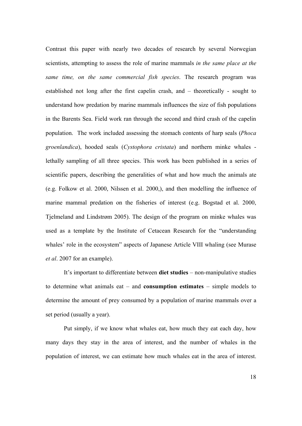Contrast this paper with nearly two decades of research by several Norwegian scientists, attempting to assess the role of marine mammals *in the same place at the same time, on the same commercial fish species*. The research program was established not long after the first capelin crash, and – theoretically - sought to understand how predation by marine mammals influences the size of fish populations in the Barents Sea. Field work ran through the second and third crash of the capelin population. The work included assessing the stomach contents of harp seals (*Phoca groenlandica*), hooded seals (*Cystophora cristata*) and northern minke whales lethally sampling of all three species. This work has been published in a series of scientific papers, describing the generalities of what and how much the animals ate (e.g. Folkow et al. 2000, Nilssen et al. 2000,), and then modelling the influence of marine mammal predation on the fisheries of interest (e.g. Bogstad et al. 2000, Tjelmeland and Lindstrøm 2005). The design of the program on minke whales was used as a template by the Institute of Cetacean Research for the "understanding whales' role in the ecosystem" aspects of Japanese Article VIII whaling (see Murase *et al*. 2007 for an example).

 It's important to differentiate between **diet studies** – non-manipulative studies to determine what animals eat – and **consumption estimates** – simple models to determine the amount of prey consumed by a population of marine mammals over a set period (usually a year).

Put simply, if we know what whales eat, how much they eat each day, how many days they stay in the area of interest, and the number of whales in the population of interest, we can estimate how much whales eat in the area of interest.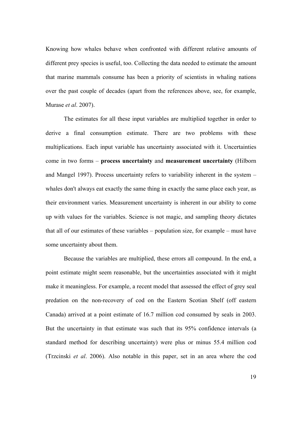Knowing how whales behave when confronted with different relative amounts of different prey species is useful, too. Collecting the data needed to estimate the amount that marine mammals consume has been a priority of scientists in whaling nations over the past couple of decades (apart from the references above, see, for example, Murase *et al*. 2007).

 The estimates for all these input variables are multiplied together in order to derive a final consumption estimate. There are two problems with these multiplications. Each input variable has uncertainty associated with it. Uncertainties come in two forms – **process uncertainty** and **measurement uncertainty** (Hilborn and Mangel 1997). Process uncertainty refers to variability inherent in the system – whales don't always eat exactly the same thing in exactly the same place each year, as their environment varies. Measurement uncertainty is inherent in our ability to come up with values for the variables. Science is not magic, and sampling theory dictates that all of our estimates of these variables – population size, for example – must have some uncertainty about them.

 Because the variables are multiplied, these errors all compound. In the end, a point estimate might seem reasonable, but the uncertainties associated with it might make it meaningless. For example, a recent model that assessed the effect of grey seal predation on the non-recovery of cod on the Eastern Scotian Shelf (off eastern Canada) arrived at a point estimate of 16.7 million cod consumed by seals in 2003. But the uncertainty in that estimate was such that its 95% confidence intervals (a standard method for describing uncertainty) were plus or minus 55.4 million cod (Trzcinski *et al*. 2006). Also notable in this paper, set in an area where the cod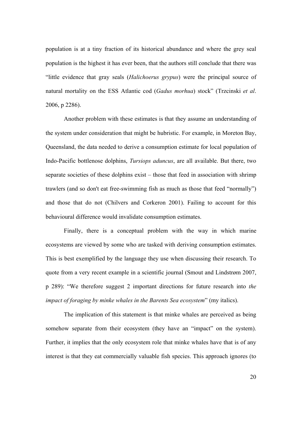population is at a tiny fraction of its historical abundance and where the grey seal population is the highest it has ever been, that the authors still conclude that there was "little evidence that gray seals (*Halichoerus grypus*) were the principal source of natural mortality on the ESS Atlantic cod (*Gadus morhua*) stock" (Trzcinski *et al*. 2006, p 2286).

 Another problem with these estimates is that they assume an understanding of the system under consideration that might be hubristic. For example, in Moreton Bay, Queensland, the data needed to derive a consumption estimate for local population of Indo-Pacific bottlenose dolphins, *Tursiops aduncus*, are all available. But there, two separate societies of these dolphins exist – those that feed in association with shrimp trawlers (and so don't eat free-swimming fish as much as those that feed "normally") and those that do not (Chilvers and Corkeron 2001). Failing to account for this behavioural difference would invalidate consumption estimates.

 Finally, there is a conceptual problem with the way in which marine ecosystems are viewed by some who are tasked with deriving consumption estimates. This is best exemplified by the language they use when discussing their research. To quote from a very recent example in a scientific journal (Smout and Lindstrøm 2007, p 289): "We therefore suggest 2 important directions for future research into *the impact of foraging by minke whales in the Barents Sea ecosystem*" (my italics).

The implication of this statement is that minke whales are perceived as being somehow separate from their ecosystem (they have an "impact" on the system). Further, it implies that the only ecosystem role that minke whales have that is of any interest is that they eat commercially valuable fish species. This approach ignores (to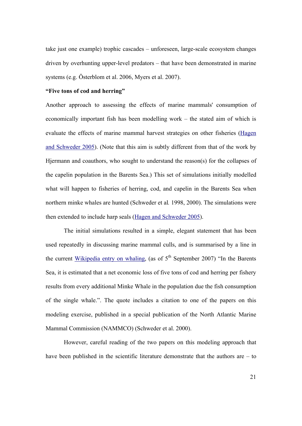take just one example) trophic cascades – unforeseen, large-scale ecosystem changes driven by overhunting upper-level predators – that have been demonstrated in marine systems (e.g. Österblom et al. 2006, Myers et al. 2007).

## **"Five tons of cod and herring"**

Another approach to assessing the effects of marine mammals' consumption of economically important fish has been modelling work – the stated aim of which is evaluate the effects of marine mammal harvest strategies on other fisheries ([Hagen](http://publications.nr.no/SAMBA0405.pdf)  [and Schweder 2005](http://publications.nr.no/SAMBA0405.pdf)). (Note that this aim is subtly different from that of the work by Hjermann and coauthors, who sought to understand the reason(s) for the collapses of the capelin population in the Barents Sea.) This set of simulations initially modelled what will happen to fisheries of herring, cod, and capelin in the Barents Sea when northern minke whales are hunted (Schweder et al*.* 1998, 2000). The simulations were then extended to include harp seals [\(Hagen and Schweder 2005](http://publications.nr.no/SAMBA0405.pdf)).

The initial simulations resulted in a simple, elegant statement that has been used repeatedly in discussing marine mammal culls, and is summarised by a line in the current [Wikipedia entry on whaling,](http://en.wikipedia.org/wiki/Whaling) (as of  $5<sup>th</sup>$  September 2007) "In the Barents Sea, it is estimated that a net economic loss of five tons of cod and herring per fishery results from every additional Minke Whale in the population due the fish consumption of the single whale.". The quote includes a citation to one of the papers on this modeling exercise, published in a special publication of the North Atlantic Marine Mammal Commission (NAMMCO) (Schweder et al. 2000).

However, careful reading of the two papers on this modeling approach that have been published in the scientific literature demonstrate that the authors are – to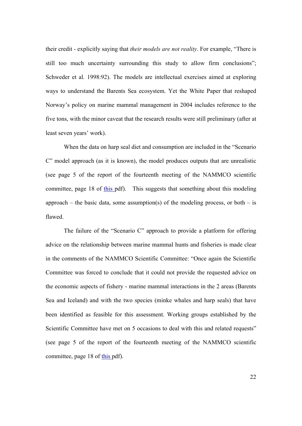their credit - explicitly saying that *their models are not reality*. For example, "There is still too much uncertainty surrounding this study to allow firm conclusions"; Schweder et al*.* 1998:92). The models are intellectual exercises aimed at exploring ways to understand the Barents Sea ecosystem. Yet the White Paper that reshaped Norway's policy on marine mammal management in 2004 includes reference to the five tons, with the minor caveat that the research results were still preliminary (after at least seven years' work).

 When the data on harp seal diet and consumption are included in the "Scenario C" model approach (as it is known), the model produces outputs that are unrealistic (see page 5 of the report of the fourteenth meeting of the NAMMCO scientific committee, page 18 of [this](http://www.nammco.no/webcronize/images/Nammco/819.pdf) pdf). This suggests that something about this modeling approach – the basic data, some assumption(s) of the modeling process, or both – is flawed.

The failure of the "Scenario C" approach to provide a platform for offering advice on the relationship between marine mammal hunts and fisheries is made clear in the comments of the NAMMCO Scientific Committee: "Once again the Scientific Committee was forced to conclude that it could not provide the requested advice on the economic aspects of fishery - marine mammal interactions in the 2 areas (Barents Sea and Iceland) and with the two species (minke whales and harp seals) that have been identified as feasible for this assessment. Working groups established by the Scientific Committee have met on 5 occasions to deal with this and related requests" (see page 5 of the report of the fourteenth meeting of the NAMMCO scientific committee, page 18 of [this p](http://www.nammco.no/webcronize/images/Nammco/819.pdf)df).

22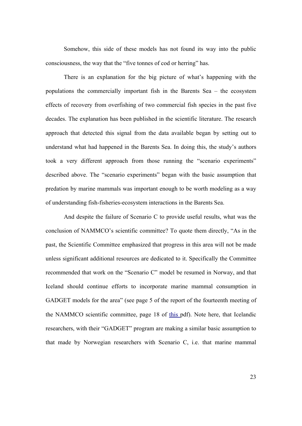Somehow, this side of these models has not found its way into the public consciousness, the way that the "five tonnes of cod or herring" has.

There is an explanation for the big picture of what's happening with the populations the commercially important fish in the Barents Sea – the ecosystem effects of recovery from overfishing of two commercial fish species in the past five decades. The explanation has been published in the scientific literature. The research approach that detected this signal from the data available began by setting out to understand what had happened in the Barents Sea. In doing this, the study's authors took a very different approach from those running the "scenario experiments" described above. The "scenario experiments" began with the basic assumption that predation by marine mammals was important enough to be worth modeling as a way of understanding fish-fisheries-ecosystem interactions in the Barents Sea.

And despite the failure of Scenario C to provide useful results, what was the conclusion of NAMMCO's scientific committee? To quote them directly, "As in the past, the Scientific Committee emphasized that progress in this area will not be made unless significant additional resources are dedicated to it. Specifically the Committee recommended that work on the "Scenario C" model be resumed in Norway, and that Iceland should continue efforts to incorporate marine mammal consumption in GADGET models for the area" (see page 5 of the report of the fourteenth meeting of the NAMMCO scientific committee, page 18 of [this](http://www.nammco.no/webcronize/images/Nammco/819.pdf) pdf). Note here, that Icelandic researchers, with their "GADGET" program are making a similar basic assumption to that made by Norwegian researchers with Scenario C, i.e. that marine mammal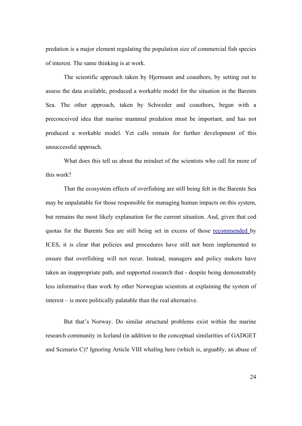predation is a major element regulating the population size of commercial fish species of interest. The same thinking is at work.

The scientific approach taken by Hjermann and coauthors, by setting out to assess the data available, produced a workable model for the situation in the Barents Sea. The other approach, taken by Schweder and coauthors, began with a preconceived idea that marine mammal predation must be important, and has not produced a workable model. Yet calls remain for further development of this unsuccessful approach.

What does this tell us about the mindset of the scientists who call for more of this work?

That the ecosystem effects of overfishing are still being felt in the Barents Sea may be unpalatable for those responsible for managing human impacts on this system, but remains the most likely explanation for the current situation. And, given that cod quotas for the Barents Sea are still being set in excess of those [recommended](http://www.ices.dk/committe/acfm/comwork/report/2007/may/cod-arct.pdf) by ICES, it is clear that policies and procedures have still not been implemented to ensure that overfishing will not recur. Instead, managers and policy makers have taken an inappropriate path, and supported research that - despite being demonstrably less informative than work by other Norwegian scientists at explaining the system of interest – is more politically palatable than the real alternative.

 But that's Norway. Do similar structural problems exist within the marine research community in Iceland (in addition to the conceptual similarities of GADGET and Scenario C)? Ignoring Article VIII whaling here (which is, arguably, an abuse of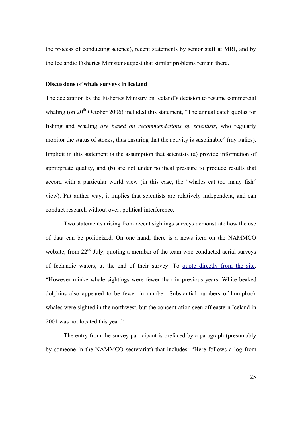the process of conducting science), recent statements by senior staff at MRI, and by the Icelandic Fisheries Minister suggest that similar problems remain there.

## **Discussions of whale surveys in Iceland**

The declaration by the Fisheries Ministry on Iceland's decision to resume commercial whaling (on 20<sup>th</sup> October 2006) included this statement, "The annual catch quotas for fishing and whaling *are based on recommendations by scientists*, who regularly monitor the status of stocks, thus ensuring that the activity is sustainable" (my italics). Implicit in this statement is the assumption that scientists (a) provide information of appropriate quality, and (b) are not under political pressure to produce results that accord with a particular world view (in this case, the "whales eat too many fish" view). Put anther way, it implies that scientists are relatively independent, and can conduct research without overt political interference.

Two statements arising from recent sightings surveys demonstrate how the use of data can be politicized. On one hand, there is a news item on the NAMMCO website, from 22<sup>nd</sup> July, quoting a member of the team who conducted aerial surveys of Icelandic waters, at the end of their survey. To [quote directly from the site](http://www.nammco.no/Nammco/Mainpage/News/final_news_on_the_icelandic_aerial_survey.html), "However minke whale sightings were fewer than in previous years. White beaked dolphins also appeared to be fewer in number. Substantial numbers of humpback whales were sighted in the northwest, but the concentration seen off eastern Iceland in 2001 was not located this year."

The entry from the survey participant is prefaced by a paragraph (presumably by someone in the NAMMCO secretariat) that includes: "Here follows a log from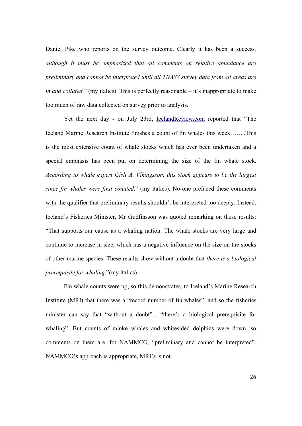Daniel Pike who reports on the survey outcome. Clearly it has been a success*, although it must be emphasized that all comments on relative abundance are preliminary and cannot be interpreted until all TNASS survey data from all areas are in and collated*." (my italics). This is perfectly reasonable – it's inappropriate to make too much of raw data collected on survey prior to analysis.

Yet the next day - on July 23rd, [IcelandReview.com](http://www.icelandreview.com/icelandreview/daily_news/?cat_id=28304&ew_0_a_id=285849) reported that "The Iceland Marine Research Institute finishes a count of fin whales this week……..This is the most extensive count of whale stocks which has ever been undertaken and a special emphasis has been put on determining the size of the fin whale stock. *According to whale expert Gísli A. Víkingsson, this stock appears to be the largest since fin whales were first counted*." (my italics). No-one prefaced these comments with the qualifier that preliminary results shouldn't be interpreted too deeply. Instead, Iceland's Fisheries Minister, Mr Gudfinsson was quoted remarking on these results: "That supports our cause as a whaling nation. The whale stocks are very large and continue to increase in size, which has a negative influence on the size on the stocks of other marine species. These results show without a doubt that *there is a biological prerequisite for whaling*."(my italics).

Fin whale counts were up, so this demonstrates, to Iceland's Marine Research Institute (MRI) that there was a "record number of fin whales", and so the fisheries minister can say that "without a doubt"... "there's a biological prerequisite for whaling". But counts of minke whales and whitesided dolphins were down, so comments on them are, for NAMMCO, "preliminary and cannot be interpreted". NAMMCO's approach is appropriate, MRI's is not.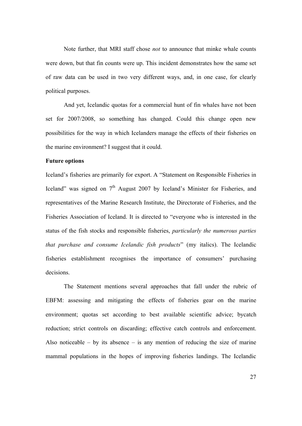Note further, that MRI staff chose *not* to announce that minke whale counts were down, but that fin counts were up. This incident demonstrates how the same set of raw data can be used in two very different ways, and, in one case, for clearly political purposes.

And yet, Icelandic quotas for a commercial hunt of fin whales have not been set for 2007/2008, so something has changed. Could this change open new possibilities for the way in which Icelanders manage the effects of their fisheries on the marine environment? I suggest that it could.

## **Future options**

Iceland's fisheries are primarily for export. A "Statement on Responsible Fisheries in Iceland" was signed on  $7<sup>th</sup>$  August 2007 by Iceland's Minister for Fisheries, and representatives of the Marine Research Institute, the Directorate of Fisheries, and the Fisheries Association of Iceland. It is directed to "everyone who is interested in the status of the fish stocks and responsible fisheries, *particularly the numerous parties that purchase and consume Icelandic fish products*" (my italics). The Icelandic fisheries establishment recognises the importance of consumers' purchasing decisions.

The Statement mentions several approaches that fall under the rubric of EBFM: assessing and mitigating the effects of fisheries gear on the marine environment; quotas set according to best available scientific advice; bycatch reduction; strict controls on discarding; effective catch controls and enforcement. Also noticeable – by its absence – is any mention of reducing the size of marine mammal populations in the hopes of improving fisheries landings. The Icelandic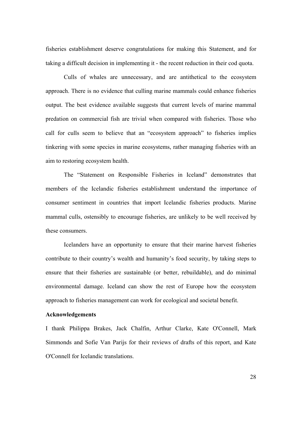fisheries establishment deserve congratulations for making this Statement, and for taking a difficult decision in implementing it - the recent reduction in their cod quota.

Culls of whales are unnecessary, and are antithetical to the ecosystem approach. There is no evidence that culling marine mammals could enhance fisheries output. The best evidence available suggests that current levels of marine mammal predation on commercial fish are trivial when compared with fisheries. Those who call for culls seem to believe that an "ecosystem approach" to fisheries implies tinkering with some species in marine ecosystems, rather managing fisheries with an aim to restoring ecosystem health.

The "Statement on Responsible Fisheries in Iceland" demonstrates that members of the Icelandic fisheries establishment understand the importance of consumer sentiment in countries that import Icelandic fisheries products. Marine mammal culls, ostensibly to encourage fisheries, are unlikely to be well received by these consumers.

Icelanders have an opportunity to ensure that their marine harvest fisheries contribute to their country's wealth and humanity's food security, by taking steps to ensure that their fisheries are sustainable (or better, rebuildable), and do minimal environmental damage. Iceland can show the rest of Europe how the ecosystem approach to fisheries management can work for ecological and societal benefit.

#### **Acknowledgements**

I thank Philippa Brakes, Jack Chalfin, Arthur Clarke, Kate O'Connell, Mark Simmonds and Sofie Van Parijs for their reviews of drafts of this report, and Kate O'Connell for Icelandic translations.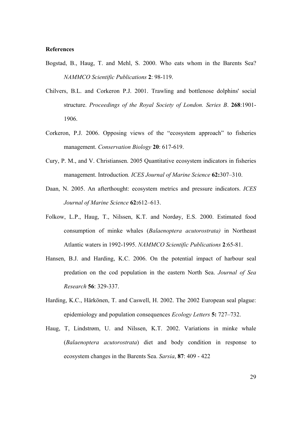## **References**

- Bogstad, B., Haug, T. and Mehl, S. 2000. Who eats whom in the Barents Sea? *NAMMCO Scientific Publications* **2**: 98-119.
- Chilvers, B.L. and Corkeron P.J. 2001. Trawling and bottlenose dolphins' social structure. *Proceedings of the Royal Society of London. Series B*. **268**:1901- 1906.
- Corkeron, P.J. 2006. Opposing views of the "ecosystem approach" to fisheries management. *Conservation Biology* **20**: 617-619.
- Cury, P. M., and V. Christiansen. 2005 Quantitative ecosystem indicators in fisheries management. Introduction*. ICES Journal of Marine Science* **62:**307–310.
- Daan, N. 2005. An afterthought: ecosystem metrics and pressure indicators. *ICES Journal of Marine Science* **62:**612–613.
- Folkow, L.P., Haug, T., Nilssen, K.T. and Nordøy, E.S. 2000. Estimated food consumption of minke whales (*Balaenoptera acutorostrata)* in Northeast Atlantic waters in 1992-1995. *NAMMCO Scientific Publications* **2**:65-81.
- Hansen, B.J. and Harding, K.C. 2006. On the potential impact of harbour seal predation on the cod population in the eastern North Sea. *Journal of Sea Research* **56**: 329-337.
- Harding, K.C., Härkönen, T. and Caswell, H. 2002. The 2002 European seal plague: epidemiology and population consequences *Ecology Letters* **5:** 727–732.
- Haug, T, Lindstrøm, U. and Nilssen, K.T. 2002. Variations in minke whale (*Balaenoptera acutorostrata*) diet and body condition in response to ecosystem changes in the Barents Sea. *Sarsia*, **87**: 409 - 422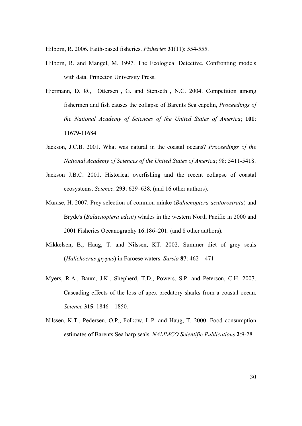Hilborn, R. 2006. Faith-based fisheries. *Fisheries* **31**(11): 554-555.

- Hilborn, R. and Mangel, M. 1997. The Ecological Detective. Confronting models with data. Princeton University Press.
- Hjermann, D. Ø., Ottersen , G. and Stenseth , N.C. 2004. Competition among fishermen and fish causes the collapse of Barents Sea capelin, *Proceedings of the National Academy of Sciences of the United States of America*; **101**: 11679-11684.
- Jackson, J.C.B. 2001. What was natural in the coastal oceans? *Proceedings of the National Academy of Sciences of the United States of America*; 98: 5411-5418.
- Jackson J.B.C. 2001. Historical overfishing and the recent collapse of coastal ecosystems. *Science*. **293**: 629–638. (and 16 other authors).
- Murase, H. 2007. Prey selection of common minke (*Balaenoptera acutorostrata*) and Bryde's (*Balaenoptera edeni*) whales in the western North Pacific in 2000 and 2001 Fisheries Oceanography **16**:186–201. (and 8 other authors).
- Mikkelsen, B., Haug, T. and Nilssen, KT. 2002. Summer diet of grey seals (*Halichoerus grypus*) in Faroese waters. *Sarsia* **87**: 462 – 471
- Myers, R.A., Baum, J.K., Shepherd, T.D., Powers, S.P. and Peterson, C.H. 2007. Cascading effects of the loss of apex predatory sharks from a coastal ocean. *Science* **315**: 1846 – 1850*.*
- Nilssen, K.T., Pedersen, O.P., Folkow, L.P. and Haug, T. 2000. Food consumption estimates of Barents Sea harp seals. *NAMMCO Scientific Publications* **2**:9-28.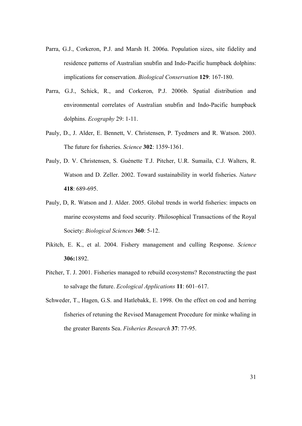- Parra, G.J., Corkeron, P.J. and Marsh H. 2006a. Population sizes, site fidelity and residence patterns of Australian snubfin and Indo-Pacific humpback dolphins: implications for conservation. *Biological Conservation* **129**: 167-180.
- Parra, G.J., Schick, R., and Corkeron, P.J. 2006b. Spatial distribution and environmental correlates of Australian snubfin and Indo-Pacific humpback dolphins. *Ecography* 29: 1-11.
- Pauly, D., J. Alder, E. Bennett, V. Christensen, P. Tyedmers and R. Watson. 2003. The future for fisheries. *Science* **302**: 1359-1361.
- Pauly, D. V. Christensen, S. Guénette T.J. Pitcher, U.R. Sumaila, C.J. Walters, R. Watson and D. Zeller. 2002. Toward sustainability in world fisheries. *Nature* **418**: 689-695.
- Pauly, D, R. Watson and J. Alder. 2005. Global trends in world fisheries: impacts on marine ecosystems and food security. Philosophical Transactions of the Royal Society: *Biological Sciences* **360**: 5-12.
- Pikitch, E. K., et al. 2004. Fishery management and culling Response. *Science* **306:**1892.
- Pitcher, T. J. 2001. Fisheries managed to rebuild ecosystems? Reconstructing the past to salvage the future. *Ecological Applications* **11**: 601–617.
- Schweder, T., Hagen, G.S. and Hatlebakk, E. 1998. On the effect on cod and herring fisheries of retuning the Revised Management Procedure for minke whaling in the greater Barents Sea. *Fisheries Research* **37**: 77-95.